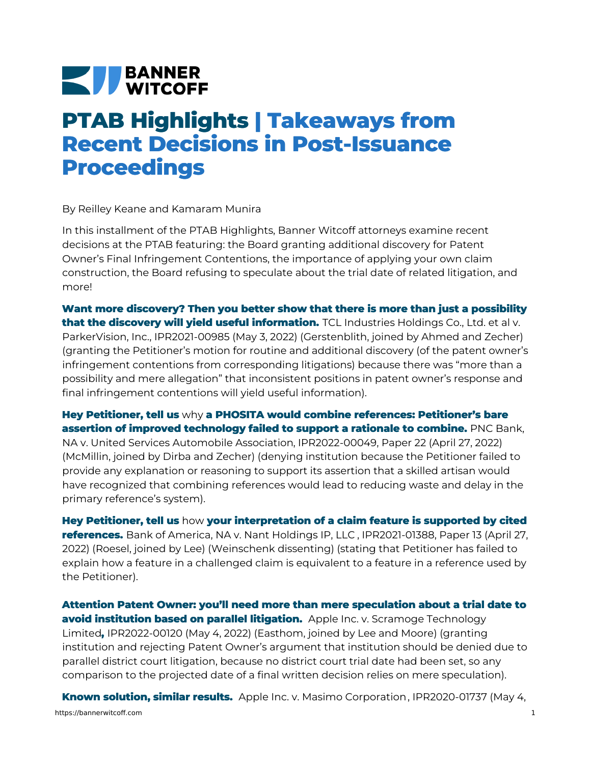## **NEW BANNER**

## **PTAB Highlights | Takeaways from Recent Decisions in Post-Issuance Proceedings**

By Reilley Keane and Kamaram Munira

In this installment of the PTAB Highlights, Banner Witcoff attorneys examine recent decisions at the PTAB featuring: the Board granting additional discovery for Patent Owner's Final Infringement Contentions, the importance of applying your own claim construction, the Board refusing to speculate about the trial date of related litigation, and more!

**Want more discovery? Then you better show that there is more than just a possibility that the discovery will yield useful information.** TCL Industries Holdings Co., Ltd. et al v. ParkerVision, Inc., [IPR2021-00985](https://bannerwitcoff.com/wp-content/uploads/2022/05/IPR2021-00985.pdf) (May 3, 2022) (Gerstenblith, joined by Ahmed and Zecher) (granting the Petitioner's motion for routine and additional discovery (of the patent owner's infringement contentions from corresponding litigations) because there was "more than a possibility and mere allegation" that inconsistent positions in patent owner's response and final infringement contentions will yield useful information).

**Hey Petitioner, tell us** why **a PHOSITA would combine references: Petitioner's bare assertion of improved technology failed to support a rationale to combine.** PNC Bank, NA v. United Services Automobile Association, [IPR2022-00049,](https://bannerwitcoff.com/wp-content/uploads/2022/05/IPR2022-00049.pdf) Paper 22 (April 27, 2022) (McMillin, joined by Dirba and Zecher) (denying institution because the Petitioner failed to provide any explanation or reasoning to support its assertion that a skilled artisan would have recognized that combining references would lead to reducing waste and delay in the primary reference's system).

**Hey Petitioner, tell us** how **your interpretation of a claim feature is supported by cited references.** Bank of America, NA v. Nant [Holdings](https://bannerwitcoff.com/wp-content/uploads/2022/05/IPR2021-01388.pdf) IP, LLC ,IPR2021-01388, Paper 13 (April 27, 2022) (Roesel, joined by Lee) (Weinschenk dissenting) (stating that Petitioner has failed to explain how a feature in a challenged claim is equivalent to a feature in a reference used by the Petitioner).

**Attention Patent Owner: you'll need more than mere speculation about a trial date to avoid institution based on parallel litigation.** Apple Inc. v. Scramoge Technology Limited**,** [IPR2022-00120](https://bannerwitcoff.com/wp-content/uploads/2022/05/IPR2022-00120.pdf) (May 4, 2022) (Easthom, joined by Lee and Moore) (granting institution and rejecting Patent Owner's argument that institution should be denied due to parallel district court litigation, because no district court trial date had been set, so any comparison to the projected date of a final written decision relies on mere speculation).

**Known solution, similar results.** Apple Inc. v. Masimo [Corporation](https://bannerwitcoff.com/wp-content/uploads/2022/05/IPR2020-01737.pdf), IPR2020-01737 (May 4, https://bannerwitcoff.com 1